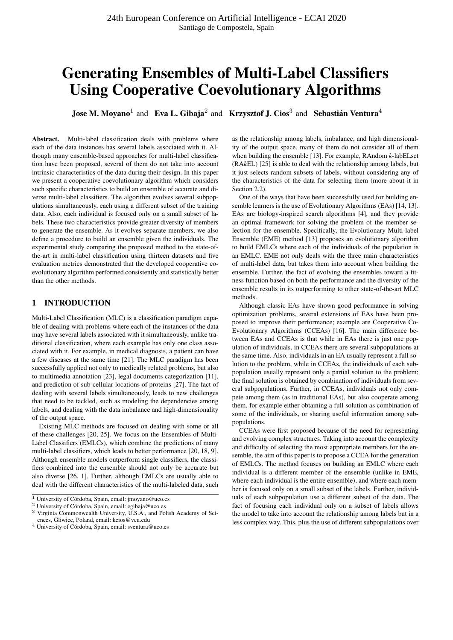# Generating Ensembles of Multi-Label Classifiers Using Cooperative Coevolutionary Algorithms

**Jose M. Moyano**<sup>1</sup> and Eva L. Gibaja<sup>2</sup> and Krzysztof J. Cios<sup>3</sup> and Sebastián Ventura<sup>4</sup>

Abstract. Multi-label classification deals with problems where each of the data instances has several labels associated with it. Although many ensemble-based approaches for multi-label classification have been proposed, several of them do not take into account intrinsic characteristics of the data during their design. In this paper we present a cooperative coevolutionary algorithm which considers such specific characteristics to build an ensemble of accurate and diverse multi-label classifiers. The algorithm evolves several subpopulations simultaneously, each using a different subset of the training data. Also, each individual is focused only on a small subset of labels. These two characteristics provide greater diversity of members to generate the ensemble. As it evolves separate members, we also define a procedure to build an ensemble given the individuals. The experimental study comparing the proposed method to the state-ofthe-art in multi-label classification using thirteen datasets and five evaluation metrics demonstrated that the developed cooperative coevolutionary algorithm performed consistently and statistically better than the other methods.

# 1 INTRODUCTION

Multi-Label Classification (MLC) is a classification paradigm capable of dealing with problems where each of the instances of the data may have several labels associated with it simultaneously, unlike traditional classification, where each example has only one class associated with it. For example, in medical diagnosis, a patient can have a few diseases at the same time [21]. The MLC paradigm has been successfully applied not only to medically related problems, but also to multimedia annotation [23], legal documents categorization [11], and prediction of sub-cellular locations of proteins [27]. The fact of dealing with several labels simultaneously, leads to new challenges that need to be tackled, such as modeling the dependencies among labels, and dealing with the data imbalance and high-dimensionality of the output space.

Existing MLC methods are focused on dealing with some or all of these challenges [20, 25]. We focus on the Ensembles of Multi-Label Classifiers (EMLCs), which combine the predictions of many multi-label classifiers, which leads to better performance [20, 18, 9]. Although ensemble models outperform single classifiers, the classifiers combined into the ensemble should not only be accurate but also diverse [26, 1]. Further, although EMLCs are usually able to deal with the different characteristics of the multi-labeled data, such as the relationship among labels, imbalance, and high dimensionality of the output space, many of them do not consider all of them when building the ensemble [13]. For example, RAndom *k*-labELset (RA*k*EL) [25] is able to deal with the relationship among labels, but it just selects random subsets of labels, without considering any of the characteristics of the data for selecting them (more about it in Section 2.2).

One of the ways that have been successfully used for building ensemble learners is the use of Evolutionary Algorithms (EAs) [14, 13]. EAs are biology-inspired search algorithms [4], and they provide an optimal framework for solving the problem of the member selection for the ensemble. Specifically, the Evolutionary Multi-label Ensemble (EME) method [13] proposes an evolutionary algorithm to build EMLCs where each of the individuals of the population is an EMLC. EME not only deals with the three main characteristics of multi-label data, but takes them into account when building the ensemble. Further, the fact of evolving the ensembles toward a fitness function based on both the performance and the diversity of the ensemble results in its outperforming to other state-of-the-art MLC methods.

Although classic EAs have shown good performance in solving optimization problems, several extensions of EAs have been proposed to improve their performance; example are Cooperative Co-Evolutionary Algorithms (CCEAs) [16]. The main difference between EAs and CCEAs is that while in EAs there is just one population of individuals, in CCEAs there are several subpopulations at the same time. Also, individuals in an EA usually represent a full solution to the problem, while in CCEAs, the individuals of each subpopulation usually represent only a partial solution to the problem; the final solution is obtained by combination of individuals from several subpopulations. Further, in CCEAs, individuals not only compete among them (as in traditional EAs), but also cooperate among them, for example either obtaining a full solution as combination of some of the individuals, or sharing useful information among subpopulations.

CCEAs were first proposed because of the need for representing and evolving complex structures. Taking into account the complexity and difficulty of selecting the most appropriate members for the ensemble, the aim of this paper is to propose a CCEA for the generation of EMLCs. The method focuses on building an EMLC where each individual is a different member of the ensemble (unlike in EME, where each individual is the entire ensemble), and where each member is focused only on a small subset of the labels. Further, individuals of each subpopulation use a different subset of the data. The fact of focusing each individual only on a subset of labels allows the model to take into account the relationship among labels but in a less complex way. This, plus the use of different subpopulations over

 $\overline{1}$  University of Córdoba, Spain, email: jmoyano@uco.es

 $2$  University of Córdoba, Spain, email: egibaja@uco.es

<sup>&</sup>lt;sup>3</sup> Virginia Commonwealth University, U.S.A., and Polish Academy of Sciences, Gliwice, Poland, email: kcios@vcu.edu

 $^4$ University of Córdoba, Spain, email: sventura@uco.es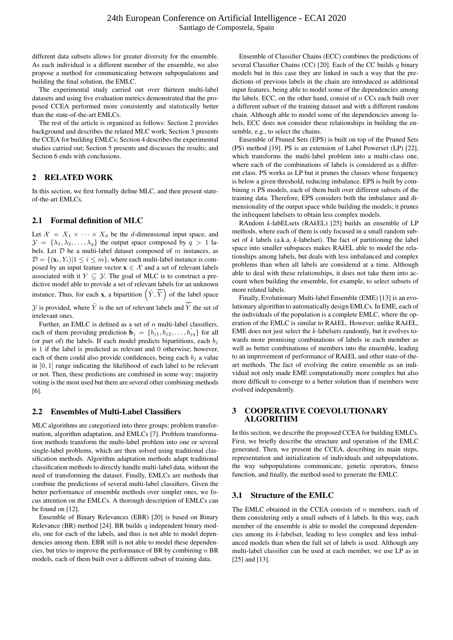different data subsets allows for greater diversity for the ensemble. As each individual is a different member of the ensemble, we also propose a method for communicating between subpopulations and building the final solution, the EMLC.

The experimental study carried out over thirteen multi-label datasets and using five evaluation metrics demonstrated that the proposed CCEA performed more consistently and statistically better than the state-of-the-art EMLCs.

The rest of the article is organized as follows: Section 2 provides background and describes the related MLC work; Section 3 presents the CCEA for building EMLCs; Section 4 describes the experimental studies carried out; Section 5 presents and discusses the results; and Section 6 ends with conclusions.

### 2 RELATED WORK

In this section, we first formally define MLC, and then present stateof-the-art EMLCs.

### 2.1 Formal definition of MLC

Let  $X = X_1 \times \cdots \times X_d$  be the *d*-dimensional input space, and  $\mathcal{Y} = {\lambda_1, \lambda_2, \ldots, \lambda_q}$  the output space composed by  $q > 1$  labels. Let  $D$  be a multi-label dataset composed of  $m$  instances, as  $\mathcal{D} = \{(\mathbf{x}_i, Y_i) | 1 \leq i \leq m\}$ , where each multi-label instance is composed by an input feature vector  $\mathbf{x} \in \mathcal{X}$  and a set of relevant labels associated with it  $Y \subseteq Y$ . The goal of MLC is to construct a predictive model able to provide a set of relevant labels for an unknown instance. Thus, for each **x**, a bipartition  $(\hat{Y}, \overline{\hat{Y}})$  of the label space

 $\mathcal Y$  is provided, where  $\hat Y$  is the set of relevant labels and  $\hat Y$  the set of irrelevant ones.

Further, an EMLC is defined as a set of  $n$  multi-label classifiers, each of them providing prediction  $\hat{\mathbf{b}}_j = \{\hat{b}_{j1}, \hat{b}_{j2}, \dots, \hat{b}_{jq}\}\$  for all (or part of) the labels. If each model predicts bipartitions, each  $b_i$ is 1 if the label is predicted as relevant and 0 otherwise; however, each of them could also provide confidences, being each  $b_i$  a value in [0, 1] range indicating the likelihood of each label to be relevant or not. Then, these predictions are combined in some way; majority voting is the most used but there are several other combining methods [6].

# 2.2 Ensembles of Multi-Label Classifiers

MLC algorithms are categorized into three groups: problem transformation, algorithm adaptation, and EMLCs [7]. Problem transformation methods transform the multi-label problem into one or several single-label problems, which are then solved using traditional classification methods. Algorithm adaptation methods adapt traditional classification methods to directly handle multi-label data, without the need of transforming the dataset. Finally, EMLCs are methods that combine the predictions of several multi-label classifiers. Given the better performance of ensemble methods over simpler ones, we focus attention on the EMLCs. A thorough description of EMLCs can be found on [12].

Ensemble of Binary Relevances (EBR) [20] is based on Binary Relevance (BR) method [24]. BR builds  $q$  independent binary models, one for each of the labels, and thus is not able to model dependencies among them. EBR still is not able to model these dependencies, but tries to improve the performance of BR by combining  $n$  BR models, each of them built over a different subset of training data.

Ensemble of Classifier Chains (ECC) combines the predictions of several Classifier Chains (CC) [20]. Each of the CC builds  $q$  binary models but in this case they are linked in such a way that the predictions of previous labels in the chain are introduced as additional input features, being able to model some of the dependencies among the labels. ECC, on the other hand, consist of  $n$  CCs each built over a different subset of the training dataset and with a different random chain. Although able to model some of the dependencies among labels, ECC does not consider these relationships in building the ensemble, e.g., to select the chains.

Ensemble of Pruned Sets (EPS) is built on top of the Pruned Sets (PS) method [19]. PS is an extension of Label Powerset (LP) [22], which transforms the multi-label problem into a multi-class one, where each of the combinations of labels is considered as a different class. PS works as LP but it prunes the classes whose frequency is below a given threshold, reducing imbalance. EPS is built by combining  $n$  PS models, each of them built over different subsets of the training data. Therefore, EPS considers both the imbalance and dimensionality of the output space while building the models; it prunes the infrequent labelsets to obtain less complex models.

RAndom *k*-labELsets (RA*k*EL) [25] builds an ensemble of LP methods, where each of them is only focused in a small random subset of *k* labels (a.k.a. *k*-labelset). The fact of partitioning the label space into smaller subspaces makes RA*k*EL able to model the relationships among labels, but deals with less imbalanced and complex problems than when all labels are considered at a time. Although able to deal with these relationships, it does not take them into account when building the ensemble, for example, to select subsets of more related labels.

Finally, Evolutionary Multi-label Ensemble (EME) [13] is an evolutionary algorithm to automatically design EMLCs. In EME, each of the individuals of the population is a complete EMLC, where the operation of the EMLC is similar to RA*k*EL. However, unlike RA*k*EL, EME does not just select the *k*-labelsets randomly, but it evolves towards more promising combinations of labels in each member as well as better combinations of members into the ensemble, leading to an improvement of performance of RA*k*EL and other state-of-theart methods. The fact of evolving the entire ensemble as an individual not only made EME computationally more complex but also more difficult to converge to a better solution than if members were evolved independently.

# 3 COOPERATIVE COEVOLUTIONARY ALGORITHM

In this section, we describe the proposed CCEA for building EMLCs. First, we briefly describe the structure and operation of the EMLC generated. Then, we present the CCEA, describing its main steps, representation and initialization of individuals and subpopulations, the way subpopulations communicate, genetic operators, fitness function, and finally, the method used to generate the EMLC.

# 3.1 Structure of the EMLC

The EMLC obtained in the CCEA consists of  $n$  members, each of them considering only a small subsets of *k* labels. In this way, each member of the ensemble is able to model the compound dependencies among its *k*-labelset, leading to less complex and less imbalanced models than when the full set of labels is used. Although any multi-label classifier can be used at each member, we use LP as in [25] and [13].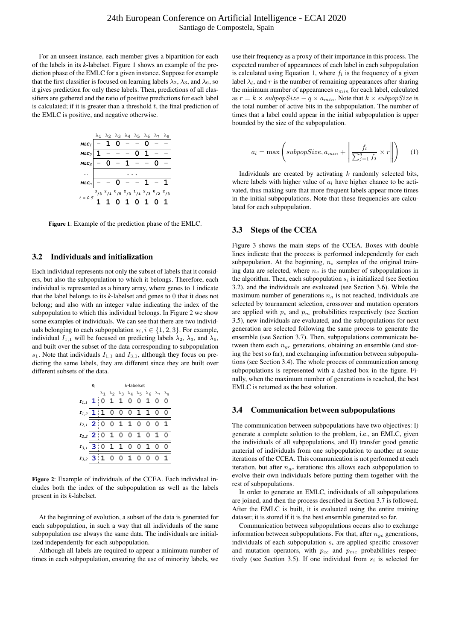For an unseen instance, each member gives a bipartition for each of the labels in its *k*-labelset. Figure 1 shows an example of the prediction phase of the EMLC for a given instance. Suppose for example that the first classifier is focused on learning labels  $\lambda_2$ ,  $\lambda_3$ , and  $\lambda_6$ , so it gives prediction for only these labels. Then, predictions of all classifiers are gathered and the ratio of positive predictions for each label is calculated; if it is greater than a threshold  $t$ , the final prediction of the EMLC is positive, and negative otherwise.



Figure 1: Example of the prediction phase of the EMLC.

#### 3.2 Individuals and initialization

Each individual represents not only the subset of labels that it considers, but also the subpopulation to which it belongs. Therefore, each individual is represented as a binary array, where genes to 1 indicate that the label belongs to its *k*-labelset and genes to 0 that it does not belong; and also with an integer value indicating the index of the subpopulation to which this individual belongs. In Figure 2 we show some examples of individuals. We can see that there are two individuals belonging to each subpopulation  $s_i, i \in \{1, 2, 3\}$ . For example, individual  $I_{1,1}$  will be focused on predicting labels  $\lambda_2$ ,  $\lambda_3$ , and  $\lambda_6$ , and built over the subset of the data corresponding to subpopulation  $s_1$ . Note that individuals  $I_{1,1}$  and  $I_{3,1}$ , although they focus on predicting the same labels, they are different since they are built over different subsets of the data.

|                                      | Si | k-labelset |  |  |  |                                                                                                 |  |  |  |
|--------------------------------------|----|------------|--|--|--|-------------------------------------------------------------------------------------------------|--|--|--|
|                                      |    |            |  |  |  | $\lambda_1$ $\lambda_2$ $\lambda_3$ $\lambda_4$ $\lambda_5$ $\lambda_6$ $\lambda_7$ $\lambda_8$ |  |  |  |
| $r_{1,1}$ 1 0 1 1 0 0 1 0 0          |    |            |  |  |  |                                                                                                 |  |  |  |
| $r_{1,2}$ 1 1 0 0 0 1 1 0 0          |    |            |  |  |  |                                                                                                 |  |  |  |
| $\mathbf{I}_{2,1}$ 2 0 0 1 1 0 0 0 1 |    |            |  |  |  |                                                                                                 |  |  |  |
| $r_{2,2}$ 2:0 1 0 0 1 0 1 0          |    |            |  |  |  |                                                                                                 |  |  |  |
| $r_{3,1}$ 3:0 1 1 0 0 1 0 0          |    |            |  |  |  |                                                                                                 |  |  |  |
| $r_{3,2}$ 3:1 0 0 1 0 0 0            |    |            |  |  |  |                                                                                                 |  |  |  |

Figure 2: Example of individuals of the CCEA. Each individual includes both the index of the subpopulation as well as the labels present in its *k*-labelset.

At the beginning of evolution, a subset of the data is generated for each subpopulation, in such a way that all individuals of the same subpopulation use always the same data. The individuals are initialized independently for each subpopulation.

Although all labels are required to appear a minimum number of times in each subpopulation, ensuring the use of minority labels, we

use their frequency as a proxy of their importance in this process. The expected number of appearances of each label in each subpopulation is calculated using Equation 1, where  $f_l$  is the frequency of a given label  $\lambda_l$ , and r is the number of remaining appearances after sharing the minimum number of appearances  $a_{min}$  for each label, calculated as  $r = k \times subpopSize - q \times a_{min}$ . Note that  $k \times subpopSize$  is the total number of active bits in the subpopulation. The number of times that a label could appear in the initial subpopulation is upper bounded by the size of the subpopulation.

$$
a_l = \max\left(subpopSize, a_{min} + \left\|\frac{f_l}{\sum_{j=1}^q f_j} \times r\right\|\right) \tag{1}
$$

Individuals are created by activating  $k$  randomly selected bits, where labels with higher value of  $a_l$  have higher chance to be activated, thus making sure that more frequent labels appear more times in the initial subpopulations. Note that these frequencies are calculated for each subpopulation.

# 3.3 Steps of the CCEA

Figure 3 shows the main steps of the CCEA. Boxes with double lines indicate that the process is performed independently for each subpopulation. At the beginning,  $n<sub>s</sub>$  samples of the original training data are selected, where  $n<sub>s</sub>$  is the number of subpopulations in the algorithm. Then, each subpopulation  $s_i$  is initialized (see Section 3.2), and the individuals are evaluated (see Section 3.6). While the maximum number of generations  $n<sub>g</sub>$  is not reached, individuals are selected by tournament selection, crossover and mutation operators are applied with  $p_c$  and  $p_m$  probabilities respectively (see Section 3.5), new individuals are evaluated, and the subpopulations for next generation are selected following the same process to generate the ensemble (see Section 3.7). Then, subpopulations communicate between them each  $n_{ac}$  generations, obtaining an ensemble (and storing the best so far), and exchanging information between subpopulations (see Section 3.4). The whole process of communication among subpopulations is represented with a dashed box in the figure. Finally, when the maximum number of generations is reached, the best EMLC is returned as the best solution.

#### 3.4 Communication between subpopulations

The communication between subpopulations have two objectives: I) generate a complete solution to the problem, i.e., an EMLC, given the individuals of all subpopulations, and II) transfer good genetic material of individuals from one subpopulation to another at some iterations of the CCEA. This communication is not performed at each iteration, but after  $n_{gc}$  iterations; this allows each subpopulation to evolve their own individuals before putting them together with the rest of subpopulations.

In order to generate an EMLC, individuals of all subpopulations are joined, and then the process described in Section 3.7 is followed. After the EMLC is built, it is evaluated using the entire training dataset; it is stored if it is the best ensemble generated so far.

Communication between subpopulations occurs also to exchange information between subpopulations. For that, after  $n_{gc}$  generations, individuals of each subpopulation  $s_i$  are applied specific crossover and mutation operators, with  $p_{cc}$  and  $p_{mc}$  probabilities respectively (see Section 3.5). If one individual from  $s_i$  is selected for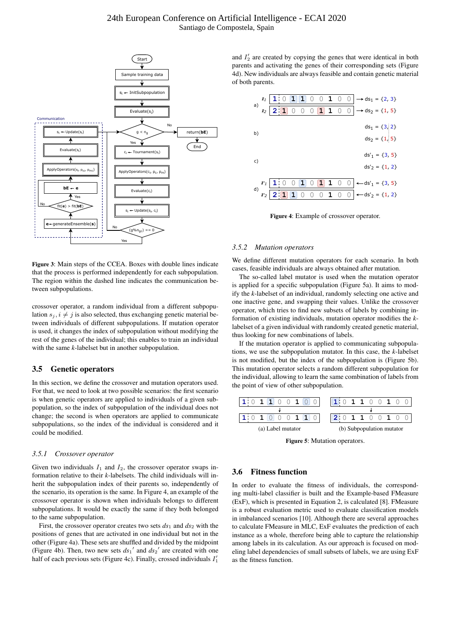

Figure 3: Main steps of the CCEA. Boxes with double lines indicate that the process is performed independently for each subpopulation. The region within the dashed line indicates the communication between subpopulations.

crossover operator, a random individual from a different subpopulation  $s_j, i \neq j$  is also selected, thus exchanging genetic material between individuals of different subpopulations. If mutation operator is used, it changes the index of subpopulation without modifying the rest of the genes of the individual; this enables to train an individual with the same *k*-labelset but in another subpopulation.

# 3.5 Genetic operators

In this section, we define the crossover and mutation operators used. For that, we need to look at two possible scenarios: the first scenario is when genetic operators are applied to individuals of a given subpopulation, so the index of subpopulation of the individual does not change; the second is when operators are applied to communicate subpopulations, so the index of the individual is considered and it could be modified.

#### *3.5.1 Crossover operator*

Given two individuals  $I_1$  and  $I_2$ , the crossover operator swaps information relative to their *k*-labelsets. The child individuals will inherit the subpopulation index of their parents so, independently of the scenario, its operation is the same. In Figure 4, an example of the crossover operator is shown when individuals belongs to different subpopulations. It would be exactly the same if they both belonged to the same subpopulation.

First, the crossover operator creates two sets  $ds_1$  and  $ds_2$  with the positions of genes that are activated in one individual but not in the other (Figure 4a). These sets are shuffled and divided by the midpoint (Figure 4b). Then, two new sets  $ds_1'$  and  $ds_2'$  are created with one half of each previous sets (Figure 4c). Finally, crossed individuals  $I'_1$ 

and  $I'_2$  are created by copying the genes that were identical in both parents and activating the genes of their corresponding sets (Figure 4d). New individuals are always feasible and contain genetic material of both parents.



Figure 4: Example of crossover operator.

#### *3.5.2 Mutation operators*

We define different mutation operators for each scenario. In both cases, feasible individuals are always obtained after mutation.

The so-called label mutator is used when the mutation operator is applied for a specific subpopulation (Figure 5a). It aims to modify the *k*-labelset of an individual, randomly selecting one active and one inactive gene, and swapping their values. Unlike the crossover operator, which tries to find new subsets of labels by combining information of existing individuals, mutation operator modifies the *k*labelset of a given individual with randomly created genetic material, thus looking for new combinations of labels.

If the mutation operator is applied to communicating subpopulations, we use the subpopulation mutator. In this case, the *k*-labelset is not modified, but the index of the subpopulation is (Figure 5b). This mutation operator selects a random different subpopulation for the individual, allowing to learn the same combination of labels from the point of view of other subpopulation.



Figure 5: Mutation operators.

#### 3.6 Fitness function

In order to evaluate the fitness of individuals, the corresponding multi-label classifier is built and the Example-based FMeasure (ExF), which is presented in Equation 2, is calculated [8]. FMeasure is a robust evaluation metric used to evaluate classification models in imbalanced scenarios [10]. Although there are several approaches to calculate FMeasure in MLC, ExF evaluates the prediction of each instance as a whole, therefore being able to capture the relationship among labels in its calculation. As our approach is focused on modeling label dependencies of small subsets of labels, we are using ExF as the fitness function.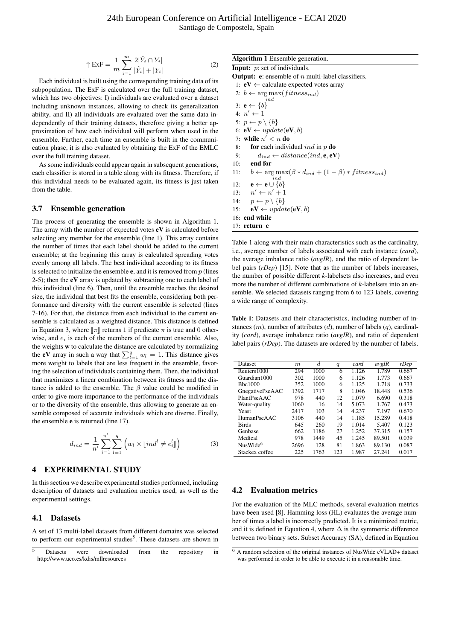$$
\uparrow \text{ExF} = \frac{1}{m} \sum_{i=1}^{m} \frac{2|\hat{Y}_i \cap Y_i|}{|\hat{Y}_i| + |Y_i|}
$$
(2)

Each individual is built using the corresponding training data of its subpopulation. The ExF is calculated over the full training dataset, which has two objectives: I) individuals are evaluated over a dataset including unknown instances, allowing to check its generalization ability, and II) all individuals are evaluated over the same data independently of their training datasets, therefore giving a better approximation of how each individual will perform when used in the ensemble. Further, each time an ensemble is built in the communication phase, it is also evaluated by obtaining the ExF of the EMLC over the full training dataset.

As some individuals could appear again in subsequent generations, each classifier is stored in a table along with its fitness. Therefore, if this individual needs to be evaluated again, its fitness is just taken from the table.

#### 3.7 Ensemble generation

The process of generating the ensemble is shown in Algorithm 1. The array with the number of expected votes  $eV$  is calculated before selecting any member for the ensemble (line 1). This array contains the number of times that each label should be added to the current ensemble; at the beginning this array is calculated spreading votes evenly among all labels. The best individual according to its fitness is selected to initialize the ensemble  $e$ , and it is removed from  $p$  (lines 2-5); then the  $eV$  array is updated by subtracting one to each label of this individual (line 6). Then, until the ensemble reaches the desired size, the individual that best fits the ensemble, considering both performance and diversity with the current ensemble is selected (lines 7-16). For that, the distance from each individual to the current ensemble is calculated as a weighted distance. This distance is defined in Equation 3, where  $\llbracket \pi \rrbracket$  returns 1 if predicate  $\pi$  is true and 0 otherwise, and  $e_i$  is each of the members of the current ensemble. Also, the weights w to calculate the distance are calculated by normalizing the **eV** array in such a way that  $\sum_{l=1}^{q} w_l = 1$ . This distance gives more weight to labels that are less frequent in the ensemble, favoring the selection of individuals containing them. Then, the individual that maximizes a linear combination between its fitness and the distance is added to the ensemble. The  $\beta$  value could be modified in order to give more importance to the performance of the individuals or to the diversity of the ensemble, thus allowing to generate an ensemble composed of accurate individuals which are diverse. Finally, the ensemble e is returned (line 17).

$$
d_{ind} = \frac{1}{n'} \sum_{i=1}^{n'} \sum_{l=1}^{q} \left( w_l \times [ind^l \neq e_i^l] \right)
$$
 (3)

## 4 EXPERIMENTAL STUDY

In this section we describe experimental studies performed, including description of datasets and evaluation metrics used, as well as the experimental settings.

#### 4.1 Datasets

A set of 13 multi-label datasets from different domains was selected to perform our experimental studies<sup>5</sup>. These datasets are shown in

# Algorithm 1 Ensemble generation.

| <b>Input:</b> $p$ : set of individuals.                                             |
|-------------------------------------------------------------------------------------|
| <b>Output:</b> e: ensemble of <i>n</i> multi-label classifiers.                     |
| 1: $eV \leftarrow$ calculate expected votes array                                   |
| 2: $b \leftarrow \arg \max(fitness_{ind})$<br>ind.                                  |
| 3: $e \leftarrow \{b\}$                                                             |
| $4: n' \leftarrow 1$                                                                |
| 5: $p \leftarrow p \setminus \{b\}$                                                 |
| 6: $eV \leftarrow update(eV, b)$                                                    |
| 7: while $n' < n$ do                                                                |
| <b>for</b> each individual <i>ind</i> in $p$ <b>do</b><br>8:                        |
| $d_{ind} \leftarrow distance (ind, e, eV)$<br>9:                                    |
| $10:$ end for                                                                       |
| 11: $b \leftarrow \arg \max(\beta * d_{ind} + (1 - \beta) * fitness_{ind})$<br>ind. |
| 12: $\mathbf{e} \leftarrow \mathbf{e} \cup \{b\}$                                   |
| 13: $n' \leftarrow n' + 1$                                                          |
| 14: $p \leftarrow p \setminus \{b\}$                                                |
| $eV \leftarrow update(eV, b)$<br>15:                                                |
| 16: end while                                                                       |
| $17:$ return e                                                                      |

Table 1 along with their main characteristics such as the cardinality, i.e., average number of labels associated with each instance (*card*), the average imbalance ratio (*avgIR*), and the ratio of dependent label pairs (*rDep*) [15]. Note that as the number of labels increases, the number of possible different *k*-labelsets also increases, and even more the number of different combinations of *k*-labelsets into an ensemble. We selected datasets ranging from 6 to 123 labels, covering a wide range of complexity.

Table 1: Datasets and their characteristics, including number of instances  $(m)$ , number of attributes  $(d)$ , number of labels  $(q)$ , cardinality (*card*), average imbalance ratio (*avgIR*), and ratio of dependent label pairs (*rDep*). The datasets are ordered by the number of labels.

| Dataset              | m    | $\overline{d}$ | q   | card  | avgIR  | rDep  |
|----------------------|------|----------------|-----|-------|--------|-------|
| Reuters 1000         | 294  | 1000           | 6   | 1.126 | 1.789  | 0.667 |
| Guardian1000         | 302  | 1000           | 6   | 1.126 | 1.773  | 0.667 |
| B <sub>bc</sub> 1000 | 352  | 1000           | 6   | 1.125 | 1.718  | 0.733 |
| GnegativePseAAC      | 1392 | 1717           | 8   | 1.046 | 18.448 | 0.536 |
| PlantPseAAC          | 978  | 440            | 12  | 1.079 | 6.690  | 0.318 |
| Water-quality        | 1060 | 16             | 14  | 5.073 | 1.767  | 0.473 |
| Yeast                | 2417 | 103            | 14  | 4.237 | 7.197  | 0.670 |
| <b>HumanPseAAC</b>   | 3106 | 440            | 14  | 1.185 | 15.289 | 0.418 |
| <b>Birds</b>         | 645  | 260            | 19  | 1.014 | 5.407  | 0.123 |
| Genbase              | 662  | 1186           | 27  | 1.252 | 37.315 | 0.157 |
| Medical              | 978  | 1449           | 45  | 1.245 | 89.501 | 0.039 |
| NusWide <sup>6</sup> | 2696 | 128            | 81  | 1.863 | 89.130 | 0.087 |
| Stackex coffee       | 225  | 1763           | 123 | 1.987 | 27.241 | 0.017 |

# 4.2 Evaluation metrics

For the evaluation of the MLC methods, several evaluation metrics have been used [8]. Hamming loss (HL) evaluates the average number of times a label is incorrectly predicted. It is a minimized metric, and it is defined in Equation 4, where  $\Delta$  is the symmetric difference between two binary sets. Subset Accuracy (SA), defined in Equation

Datasets were downloaded from the repository in http://www.uco.es/kdis/mllresources

 $6$  A random selection of the original instances of NusWide cVLAD+ dataset was performed in order to be able to execute it in a reasonable time.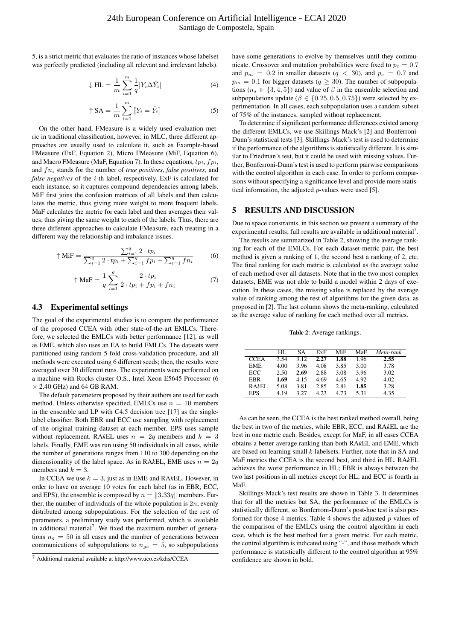5, is a strict metric that evaluates the ratio of instances whose labelset was perfectly predicted (including all relevant and irrelevant labels).

$$
\downarrow \text{HL} = \frac{1}{m} \sum_{i=1}^{m} \frac{1}{q} |Y_i \Delta \hat{Y}_i| \tag{4}
$$

$$
\uparrow \text{SA} = \frac{1}{m} \sum_{i=1}^{m} \left[ Y_i = \hat{Y}_i \right] \tag{5}
$$

On the other hand, FMeasure is a widely used evaluation metric in traditional classification, however, in MLC, three different approaches are usually used to calculate it, such as Example-based FMeasure (ExF, Equation 2), Micro FMeasure (MiF, Equation 6), and Macro FMeasure (MaF, Equation 7). In these equations,  $tp_i, fp_i$ , and fn<sup>i</sup> stands for the number of *true positives*, *false positives*, and *false negatives* of the i-th label, respectively. ExF is calculated for each instance, so it captures compound dependencies among labels. MiF first joins the confusion matrices of all labels and then calculates the metric, thus giving more weight to more frequent labels. MaF calculates the metric for each label and then averages their values, thus giving the same weight to each of the labels. Thus, there are three different approaches to calculate FMeasure, each treating in a different way the relationship and imbalance issues.

$$
\uparrow \text{MiF} = \frac{\sum_{i=1}^{q} 2 \cdot tp_i}{\sum_{i=1}^{q} 2 \cdot tp_i + \sum_{i=1}^{q} fp_i + \sum_{i=1}^{q} fn_i}
$$
(6)

$$
\uparrow \text{MaF} = \frac{1}{q} \sum_{i=1}^{q} \frac{2 \cdot tp_i}{2 \cdot tp_i + fp_i + fn_i} \tag{7}
$$

#### 4.3 Experimental settings

The goal of the experimental studies is to compare the performance of the proposed CCEA with other state-of-the-art EMLCs. Therefore, we selected the EMLCs with better performance [12], as well as EME, which also uses an EA to build EMLCs. The datasets were partitioned using random 5-fold cross-validation procedure, and all methods were executed using 6 different seeds; then, the results were averaged over 30 different runs. The experiments were performed on a machine with Rocks cluster O.S., Intel Xeon E5645 Processor (6  $\times$  2.40 GHz) and 64 GB RAM.

The default parameters proposed by their authors are used for each method. Unless otherwise specified, EMLCs use  $n = 10$  members in the ensemble and LP with C4.5 decision tree [17] as the singlelabel classifier. Both EBR and ECC use sampling with replacement of the original training dataset at each member. EPS uses sample without replacement. RA $k$ EL uses  $n = 2q$  members and  $k = 3$ labels. Finally, EME was run using 50 individuals in all cases, while the number of generations ranges from 110 to 300 depending on the dimensionality of the label space. As in RA $kEL$ , EME uses  $n = 2q$ members and  $k = 3$ .

In CCEA we use  $k = 3$ , just as in EME and RA $k$ EL. However, in order to have on average 10 votes for each label (as in EBR, ECC, and EPS), the ensemble is composed by  $n = \|3.33q\|$  members. Further, the number of individuals of the whole population is  $2n$ , evenly distributed among subpopulations. For the selection of the rest of parameters, a preliminary study was performed, which is available in additional material<sup>7</sup>. We fixed the maximum number of generations  $n_q = 50$  in all cases and the number of generations between communications of subpopulations to  $n_{gc} = 5$ , so subpopulations have some generations to evolve by themselves until they communicate. Crossover and mutation probabilities were fixed to  $p_c = 0.7$ and  $p_m = 0.2$  in smaller datasets ( $q < 30$ ), and  $p_c = 0.7$  and  $p_m = 0.1$  for bigger datasets ( $q \ge 30$ ). The number of subpopulations ( $n_s \in \{3, 4, 5\}$ ) and value of  $\beta$  in the ensemble selection and subpopulations update ( $\beta \in \{0.25, 0.5, 0.75\}$ ) were selected by experimentation. In all cases, each subpopulation uses a random subset of 75% of the instances, sampled without replacement.

To determine if significant performance differences existed among the different EMLCs, we use Skillings-Mack's [2] and Bonferroni-Dunn's statistical tests [3]. Skillings-Mack's test is used to determine if the performance of the algorithms is statistically different. It is similar to Friedman's test, but it could be used with missing values. Further, Bonferroni-Dunn's test is used to perform pairwise comparisons with the control algorithm in each case. In order to perform comparisons without specifying a significance level and provide more statistical information, the adjusted p-values were used [5].

# 5 RESULTS AND DISCUSSION

Due to space constraints, in this section we present a summary of the experimental results; full results are available in additional material<sup>7</sup>.

The results are summarized in Table 2, showing the average ranking for each of the EMLCs. For each dataset-metric pair, the best method is given a ranking of 1, the second best a ranking of 2, etc. The final ranking for each metric is calculated as the average value of each method over all datasets. Note that in the two most complex datasets, EME was not able to build a model within 2 days of execution. In these cases, the missing value is replaced by the average value of ranking among the rest of algorithms for the given data, as proposed in [2]. The last column shows the meta-ranking, calculated as the average value of ranking for each method over all metrics.

Table 2: Average rankings.

|             | HL.  | SА   | ExF  | MiF  | MaF  | Meta-rank |
|-------------|------|------|------|------|------|-----------|
| <b>CCEA</b> | 3.54 | 3.12 | 2.27 | 1.88 | 1.96 | 2.55      |
| <b>EME</b>  | 4.00 | 3.96 | 4.08 | 3.85 | 3.00 | 3.78      |
| ECC.        | 2.50 | 2.69 | 2.88 | 3.08 | 3.96 | 3.02      |
| EBR         | 1.69 | 4.15 | 4.69 | 4.65 | 4.92 | 4.02      |
| RAkEL       | 5.08 | 3.81 | 2.85 | 2.81 | 1.85 | 3.28      |
| <b>EPS</b>  | 4.19 | 3 27 | 4 23 | 4.73 | 5.31 | 4.35      |

As can be seen, the CCEA is the best ranked method overall, being the best in two of the metrics, while EBR, ECC, and RA*k*EL are the best in one metric each. Besides, except for MaF, in all cases CCEA obtains a better average ranking than both RA*k*EL and EME, which are based on learning small *k*-labelsets. Further, note that in SA and MaF metrics the CCEA is the second best, and third in HL. RA*k*EL achieves the worst performance in HL; EBR is always between the two last positions in all metrics except for HL; and ECC is fourth in MaF.

Skillings-Mack's test results are shown in Table 3. It determines that for all the metrics but SA, the performance of the EMLCs is statistically different, so Bonferroni-Dunn's post-hoc test is also performed for those 4 metrics. Table 4 shows the adjusted  $p$ -values of the comparison of the EMLCs using the control algorithm in each case, which is the best method for a given metric. For each metric, the control algorithm is indicated using "-", and those methods which performance is statistically different to the control algorithm at 95% confidence are shown in bold.

<sup>7</sup> Additional material available at http://www.uco.es/kdis/CCEA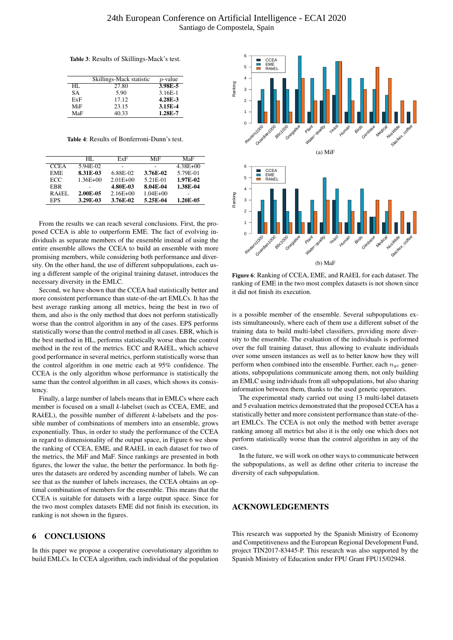Table 3: Results of Skillings-Mack's test.

|     | Skillings-Mack statistic | $p$ -value |
|-----|--------------------------|------------|
| HL. | 27.80                    | 3.98E-5    |
| SА  | 5.90                     | $3.16E-1$  |
| ExF | 17.12                    | 4.28E-3    |
| MiF | 23.15                    | 3.15E-4    |
| MaF | 40.33                    | 1.28E-7    |

Table 4: Results of Bonferroni-Dunn's test.

|             | HL.          | ExF          | MiF          | MaF          |
|-------------|--------------|--------------|--------------|--------------|
| <b>CCEA</b> | 5.94E-02     |              |              | $4.38E + 00$ |
| EME.        | 8.31E-03     | 6.88E-02     | 3.76E-02     | 5.79E-01     |
| <b>ECC</b>  | $1.36E + 00$ | $2.01E + 00$ | 5.21E-01     | 1.97E-02     |
| EBR         |              | 4.80E-03     | 8.04E-04     | 1.38E-04     |
| RAkEL       | 2.00E-05     | $2.16E + 00$ | $1.04E + 00$ |              |
| <b>EPS</b>  | 3.29E-03     | 3.76E-02     | 5.25E-04     | 1.20E-05     |

From the results we can reach several conclusions. First, the proposed CCEA is able to outperform EME. The fact of evolving individuals as separate members of the ensemble instead of using the entire ensemble allows the CCEA to build an ensemble with more promising members, while considering both performance and diversity. On the other hand, the use of different subpopulations, each using a different sample of the original training dataset, introduces the necessary diversity in the EMLC.

Second, we have shown that the CCEA had statistically better and more consistent performance than state-of-the-art EMLCs. It has the best average ranking among all metrics, being the best in two of them, and also is the only method that does not perform statistically worse than the control algorithm in any of the cases. EPS performs statistically worse than the control method in all cases. EBR, which is the best method in HL, performs statistically worse than the control method in the rest of the metrics. ECC and RA*k*EL, which achieve good performance in several metrics, perform statistically worse than the control algorithm in one metric each at 95% confidence. The CCEA is the only algorithm whose performance is statistically the same than the control algorithm in all cases, which shows its consistency.

Finally, a large number of labels means that in EMLCs where each member is focused on a small *k*-labelset (such as CCEA, EME, and RA*k*EL), the possible number of different *k*-labelsets and the possible number of combinations of members into an ensemble, grows exponentially. Thus, in order to study the performance of the CCEA in regard to dimensionality of the output space, in Figure 6 we show the ranking of CCEA, EME, and RA*k*EL in each dataset for two of the metrics, the MiF and MaF. Since rankings are presented in both figures, the lower the value, the better the performance. In both figures the datasets are ordered by ascending number of labels. We can see that as the number of labels increases, the CCEA obtains an optimal combination of members for the ensemble. This means that the CCEA is suitable for datasets with a large output space. Since for the two most complex datasets EME did not finish its execution, its ranking is not shown in the figures.

# 6 CONCLUSIONS

In this paper we propose a cooperative coevolutionary algorithm to build EMLCs. In CCEA algorithm, each individual of the population



Figure 6: Ranking of CCEA, EME, and RA*k*EL for each dataset. The ranking of EME in the two most complex datasets is not shown since it did not finish its execution.

is a possible member of the ensemble. Several subpopulations exists simultaneously, where each of them use a different subset of the training data to build multi-label classifiers, providing more diversity to the ensemble. The evaluation of the individuals is performed over the full training dataset, thus allowing to evaluate individuals over some unseen instances as well as to better know how they will perform when combined into the ensemble. Further, each  $n_{qc}$  generations, subpopulations communicate among them, not only building an EMLC using individuals from all subpopulations, but also sharing information between them, thanks to the used genetic operators.

The experimental study carried out using 13 multi-label datasets and 5 evaluation metrics demonstrated that the proposed CCEA has a statistically better and more consistent performance than state-of-theart EMLCs. The CCEA is not only the method with better average ranking among all metrics but also it is the only one which does not perform statistically worse than the control algorithm in any of the cases.

In the future, we will work on other ways to communicate between the subpopulations, as well as define other criteria to increase the diversity of each subpopulation.

#### ACKNOWLEDGEMENTS

This research was supported by the Spanish Ministry of Economy and Competitiveness and the European Regional Development Fund, project TIN2017-83445-P. This research was also supported by the Spanish Ministry of Education under FPU Grant FPU15/02948.